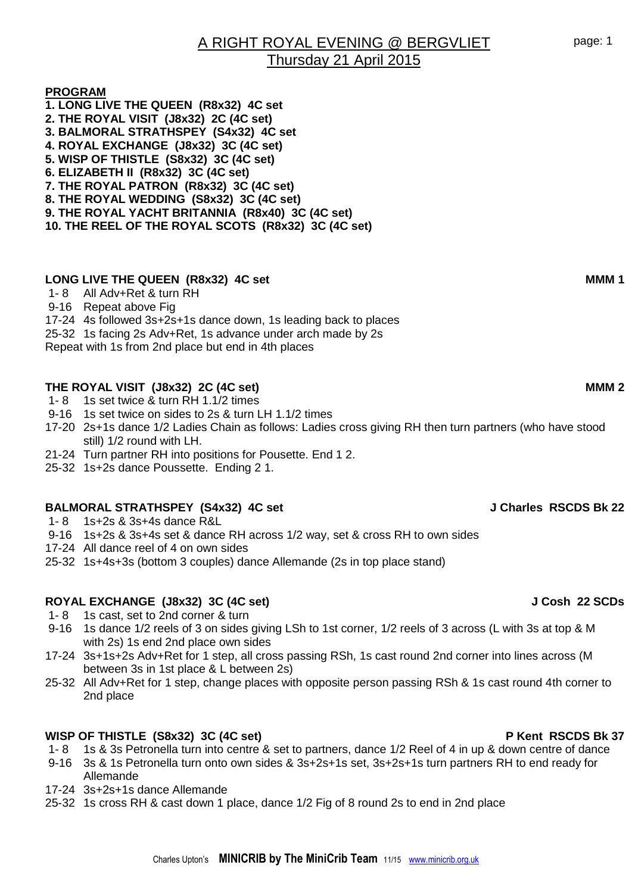### **PROGRAM**

**1. LONG LIVE THE QUEEN (R8x32) 4C set 2. THE ROYAL VISIT (J8x32) 2C (4C set) 3. BALMORAL STRATHSPEY (S4x32) 4C set 4. ROYAL EXCHANGE (J8x32) 3C (4C set) 5. WISP OF THISTLE (S8x32) 3C (4C set) 6. ELIZABETH II (R8x32) 3C (4C set) 7. THE ROYAL PATRON (R8x32) 3C (4C set) 8. THE ROYAL WEDDING (S8x32) 3C (4C set) 9. THE ROYAL YACHT BRITANNIA (R8x40) 3C (4C set) 10. THE REEL OF THE ROYAL SCOTS (R8x32) 3C (4C set)**

## LONG LIVE THE QUEEN (R8x32) 4C set **MMM 1**

1- 8 All Adv+Ret & turn RH

### 9-16 Repeat above Fig

- 17-24 4s followed 3s+2s+1s dance down, 1s leading back to places
- 25-32 1s facing 2s Adv+Ret, 1s advance under arch made by 2s

Repeat with 1s from 2nd place but end in 4th places

### **THE ROYAL VISIT (J8x32) 2C (4C set) MMM 2**

- 1- 8 1s set twice & turn RH 1.1/2 times
- 9-16 1s set twice on sides to 2s & turn LH 1.1/2 times
- 17-20 2s+1s dance 1/2 Ladies Chain as follows: Ladies cross giving RH then turn partners (who have stood still) 1/2 round with LH.
- 21-24 Turn partner RH into positions for Pousette. End 1 2.
- 25-32 1s+2s dance Poussette. Ending 2 1.

### **BALMORAL STRATHSPEY (S4x32) 4C set J Charles RSCDS Bk 22**

- 1- 8 1s+2s & 3s+4s dance R&L
- 9-16 1s+2s & 3s+4s set & dance RH across 1/2 way, set & cross RH to own sides
- 17-24 All dance reel of 4 on own sides
- 25-32 1s+4s+3s (bottom 3 couples) dance Allemande (2s in top place stand)

## **ROYAL EXCHANGE (J8x32) 3C (4C set) J Cosh 22 SCDs**

- 1- 8 1s cast, set to 2nd corner & turn
- 9-16 1s dance 1/2 reels of 3 on sides giving LSh to 1st corner, 1/2 reels of 3 across (L with 3s at top & M with 2s) 1s end 2nd place own sides
- 17-24 3s+1s+2s Adv+Ret for 1 step, all cross passing RSh, 1s cast round 2nd corner into lines across (M between 3s in 1st place & L between 2s)
- 25-32 All Adv+Ret for 1 step, change places with opposite person passing RSh & 1s cast round 4th corner to 2nd place

### WISP OF THISTLE (S8x32) 3C (4C set) **P Kent RSCDS Bk 37**

- 1- 8 1s & 3s Petronella turn into centre & set to partners, dance 1/2 Reel of 4 in up & down centre of dance
- 9-16 3s & 1s Petronella turn onto own sides & 3s+2s+1s set, 3s+2s+1s turn partners RH to end ready for Allemande
- 17-24 3s+2s+1s dance Allemande
- 25-32 1s cross RH & cast down 1 place, dance 1/2 Fig of 8 round 2s to end in 2nd place

page: 1